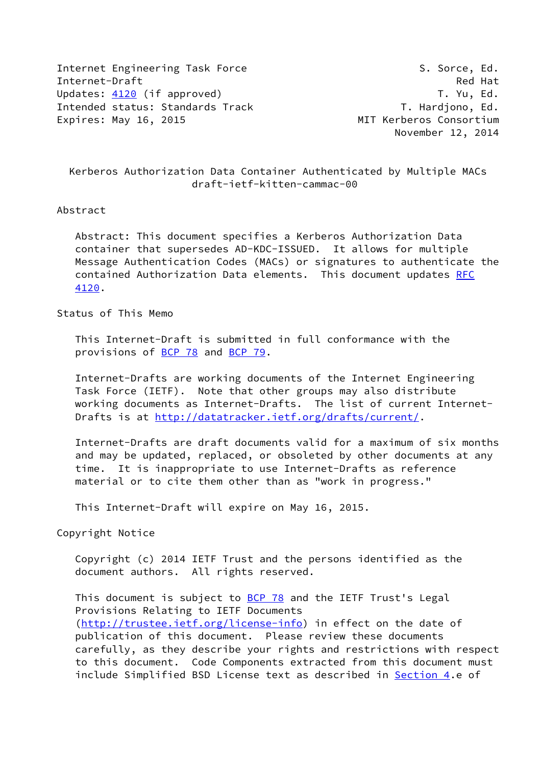Internet Engineering Task Force S. Sorce, Ed. Internet-Draft Red Hat Updates: [4120](https://datatracker.ietf.org/doc/pdf/rfc4120) (if approved) Updates: 4120 (if approved) Intended status: Standards Track T. Hardjono, Ed. Expires: May 16, 2015 MIT Kerberos Consortium

November 12, 2014

 Kerberos Authorization Data Container Authenticated by Multiple MACs draft-ietf-kitten-cammac-00

#### Abstract

 Abstract: This document specifies a Kerberos Authorization Data container that supersedes AD-KDC-ISSUED. It allows for multiple Message Authentication Codes (MACs) or signatures to authenticate the contained Authorization Data elements. This document updates [RFC](https://datatracker.ietf.org/doc/pdf/rfc4120) [4120](https://datatracker.ietf.org/doc/pdf/rfc4120).

## Status of This Memo

 This Internet-Draft is submitted in full conformance with the provisions of [BCP 78](https://datatracker.ietf.org/doc/pdf/bcp78) and [BCP 79](https://datatracker.ietf.org/doc/pdf/bcp79).

 Internet-Drafts are working documents of the Internet Engineering Task Force (IETF). Note that other groups may also distribute working documents as Internet-Drafts. The list of current Internet Drafts is at<http://datatracker.ietf.org/drafts/current/>.

 Internet-Drafts are draft documents valid for a maximum of six months and may be updated, replaced, or obsoleted by other documents at any time. It is inappropriate to use Internet-Drafts as reference material or to cite them other than as "work in progress."

This Internet-Draft will expire on May 16, 2015.

Copyright Notice

 Copyright (c) 2014 IETF Trust and the persons identified as the document authors. All rights reserved.

This document is subject to **[BCP 78](https://datatracker.ietf.org/doc/pdf/bcp78)** and the IETF Trust's Legal Provisions Relating to IETF Documents [\(http://trustee.ietf.org/license-info](http://trustee.ietf.org/license-info)) in effect on the date of publication of this document. Please review these documents carefully, as they describe your rights and restrictions with respect to this document. Code Components extracted from this document must include Simplified BSD License text as described in [Section 4.](#page-3-0)e of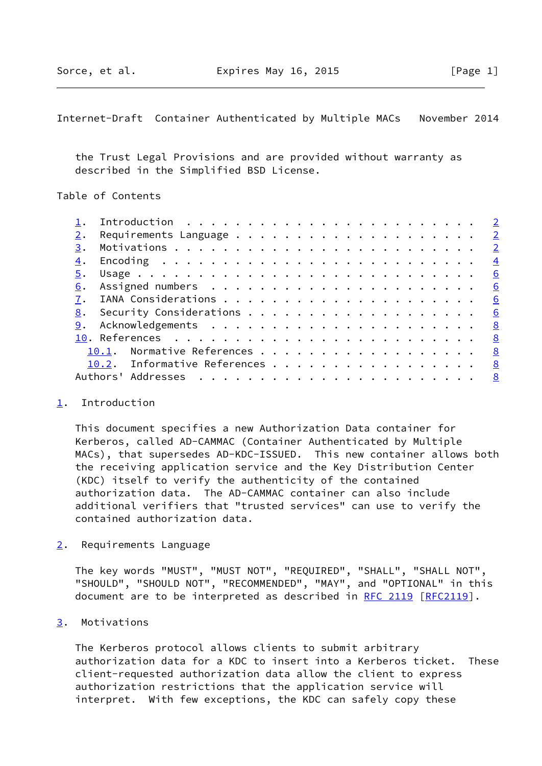# <span id="page-1-1"></span>Internet-Draft Container Authenticated by Multiple MACs November 2014

 the Trust Legal Provisions and are provided without warranty as described in the Simplified BSD License.

## Table of Contents

|    |                              | $\overline{\phantom{0}}^2$ |
|----|------------------------------|----------------------------|
|    |                              |                            |
| 3. |                              | $\overline{\phantom{0}}^2$ |
| 4. |                              | $\overline{4}$             |
| 5. |                              | 6                          |
| 6. |                              | 6                          |
|    |                              | 6                          |
|    |                              | 6                          |
| 9. |                              |                            |
|    |                              | $^{\circ}$ 8               |
|    | 10.1. Normative References 8 |                            |
|    | 10.2. Informative References | <u>8</u>                   |
|    |                              |                            |
|    |                              |                            |

#### <span id="page-1-0"></span>[1](#page-1-0). Introduction

 This document specifies a new Authorization Data container for Kerberos, called AD-CAMMAC (Container Authenticated by Multiple MACs), that supersedes AD-KDC-ISSUED. This new container allows both the receiving application service and the Key Distribution Center (KDC) itself to verify the authenticity of the contained authorization data. The AD-CAMMAC container can also include additional verifiers that "trusted services" can use to verify the contained authorization data.

<span id="page-1-2"></span>[2](#page-1-2). Requirements Language

 The key words "MUST", "MUST NOT", "REQUIRED", "SHALL", "SHALL NOT", "SHOULD", "SHOULD NOT", "RECOMMENDED", "MAY", and "OPTIONAL" in this document are to be interpreted as described in [RFC 2119 \[RFC2119](https://datatracker.ietf.org/doc/pdf/rfc2119)].

## <span id="page-1-3"></span>[3](#page-1-3). Motivations

 The Kerberos protocol allows clients to submit arbitrary authorization data for a KDC to insert into a Kerberos ticket. These client-requested authorization data allow the client to express authorization restrictions that the application service will interpret. With few exceptions, the KDC can safely copy these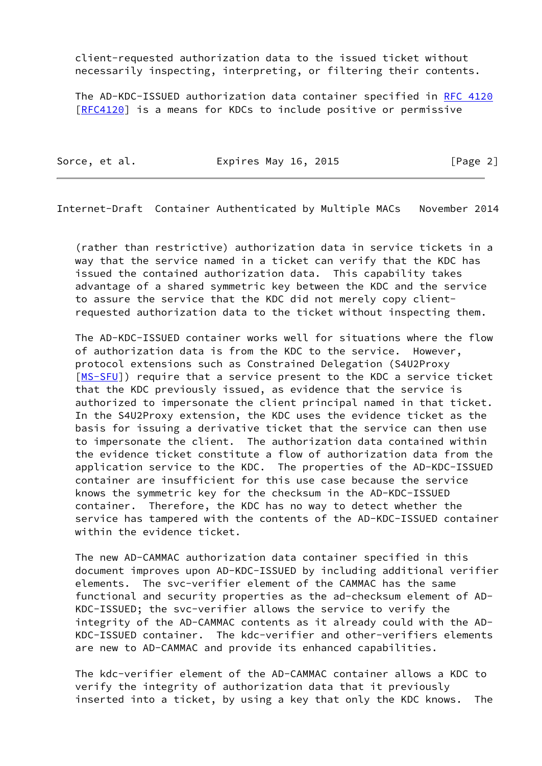client-requested authorization data to the issued ticket without necessarily inspecting, interpreting, or filtering their contents.

 The AD-KDC-ISSUED authorization data container specified in [RFC 4120](https://datatracker.ietf.org/doc/pdf/rfc4120) [\[RFC4120](https://datatracker.ietf.org/doc/pdf/rfc4120)] is a means for KDCs to include positive or permissive

| Sorce, et al. | Expires May 16, 2015 | [Page 2] |
|---------------|----------------------|----------|
|               |                      |          |

Internet-Draft Container Authenticated by Multiple MACs November 2014

 (rather than restrictive) authorization data in service tickets in a way that the service named in a ticket can verify that the KDC has issued the contained authorization data. This capability takes advantage of a shared symmetric key between the KDC and the service to assure the service that the KDC did not merely copy client requested authorization data to the ticket without inspecting them.

 The AD-KDC-ISSUED container works well for situations where the flow of authorization data is from the KDC to the service. However, protocol extensions such as Constrained Delegation (S4U2Proxy [\[MS-SFU](#page-8-4)]) require that a service present to the KDC a service ticket that the KDC previously issued, as evidence that the service is authorized to impersonate the client principal named in that ticket. In the S4U2Proxy extension, the KDC uses the evidence ticket as the basis for issuing a derivative ticket that the service can then use to impersonate the client. The authorization data contained within the evidence ticket constitute a flow of authorization data from the application service to the KDC. The properties of the AD-KDC-ISSUED container are insufficient for this use case because the service knows the symmetric key for the checksum in the AD-KDC-ISSUED container. Therefore, the KDC has no way to detect whether the service has tampered with the contents of the AD-KDC-ISSUED container within the evidence ticket.

 The new AD-CAMMAC authorization data container specified in this document improves upon AD-KDC-ISSUED by including additional verifier elements. The svc-verifier element of the CAMMAC has the same functional and security properties as the ad-checksum element of AD- KDC-ISSUED; the svc-verifier allows the service to verify the integrity of the AD-CAMMAC contents as it already could with the AD- KDC-ISSUED container. The kdc-verifier and other-verifiers elements are new to AD-CAMMAC and provide its enhanced capabilities.

 The kdc-verifier element of the AD-CAMMAC container allows a KDC to verify the integrity of authorization data that it previously inserted into a ticket, by using a key that only the KDC knows. The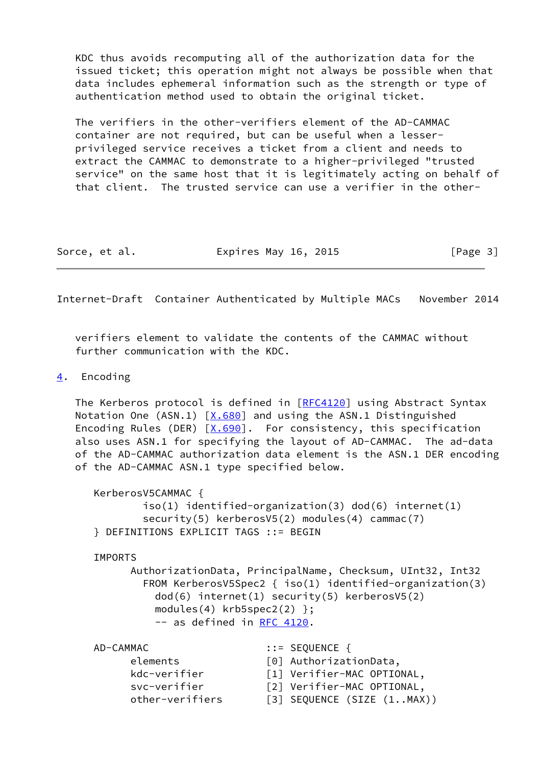KDC thus avoids recomputing all of the authorization data for the issued ticket; this operation might not always be possible when that data includes ephemeral information such as the strength or type of authentication method used to obtain the original ticket.

 The verifiers in the other-verifiers element of the AD-CAMMAC container are not required, but can be useful when a lesser privileged service receives a ticket from a client and needs to extract the CAMMAC to demonstrate to a higher-privileged "trusted service" on the same host that it is legitimately acting on behalf of that client. The trusted service can use a verifier in the other-

| Sorce, et al. | Expires May 16, 2015 | [Page 3] |
|---------------|----------------------|----------|
|---------------|----------------------|----------|

<span id="page-3-1"></span>Internet-Draft Container Authenticated by Multiple MACs November 2014

 verifiers element to validate the contents of the CAMMAC without further communication with the KDC.

#### <span id="page-3-0"></span>[4](#page-3-0). Encoding

The Kerberos protocol is defined in [\[RFC4120](https://datatracker.ietf.org/doc/pdf/rfc4120)] using Abstract Syntax Notation One  $(ASN.1)$   $[X.680]$  and using the ASN.1 Distinguished Encoding Rules (DER)  $[X.690]$ . For consistency, this specification also uses ASN.1 for specifying the layout of AD-CAMMAC. The ad-data of the AD-CAMMAC authorization data element is the ASN.1 DER encoding of the AD-CAMMAC ASN.1 type specified below.

```
 KerberosV5CAMMAC {
        iso(1) identified-organization(3) dod(6) internet(1)
       security(5) kerberosV5(2) modules(4) cammac(7)
} DEFINITIONS EXPLICIT TAGS ::= BEGIN
```
IMPORTS

 AuthorizationData, PrincipalName, Checksum, UInt32, Int32 FROM KerberosV5Spec2 { iso(1) identified-organization(3) dod(6) internet(1) security(5) kerberosV5(2) modules $(4)$  krb5spec2 $(2)$  }; -- as defined in [RFC 4120](https://datatracker.ietf.org/doc/pdf/rfc4120).

| AD-CAMMAC       | $\mathbf{::}$ = SEQUENCE {               |
|-----------------|------------------------------------------|
| elements        | [0] AuthorizationData,                   |
| kdc-verifier    | [1] Verifier-MAC OPTIONAL,               |
| svc-verifier    | [2] Verifier-MAC OPTIONAL,               |
| other-verifiers | $\lceil 3 \rceil$ SEQUENCE (SIZE (1MAX)) |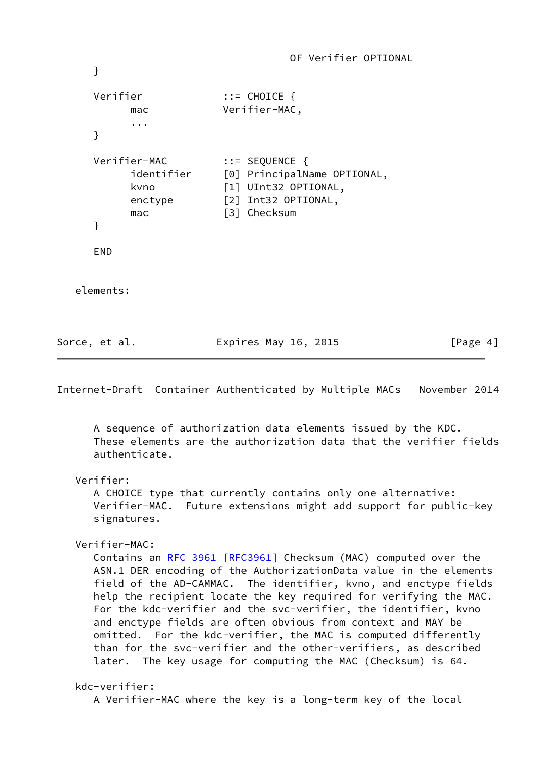OF Verifier OPTIONAL } Verifier ::= CHOICE { mac Verifier-MAC, ... } Verifier-MAC ::= SEQUENCE { identifier [0] PrincipalName OPTIONAL, kvno [1] UInt32 OPTIONAL, enctype [2] Int32 OPTIONAL, mac [3] Checksum } END elements: Sorce, et al. **Expires May 16, 2015** [Page 4]

Internet-Draft Container Authenticated by Multiple MACs November 2014

 A sequence of authorization data elements issued by the KDC. These elements are the authorization data that the verifier fields authenticate.

```
 Verifier:
```
 A CHOICE type that currently contains only one alternative: Verifier-MAC. Future extensions might add support for public-key signatures.

```
 Verifier-MAC:
```
Contains an [RFC 3961 \[RFC3961](https://datatracker.ietf.org/doc/pdf/rfc3961)] Checksum (MAC) computed over the ASN.1 DER encoding of the AuthorizationData value in the elements field of the AD-CAMMAC. The identifier, kvno, and enctype fields help the recipient locate the key required for verifying the MAC. For the kdc-verifier and the svc-verifier, the identifier, kvno and enctype fields are often obvious from context and MAY be omitted. For the kdc-verifier, the MAC is computed differently than for the svc-verifier and the other-verifiers, as described later. The key usage for computing the MAC (Checksum) is 64.

```
 kdc-verifier:
   A Verifier-MAC where the key is a long-term key of the local
```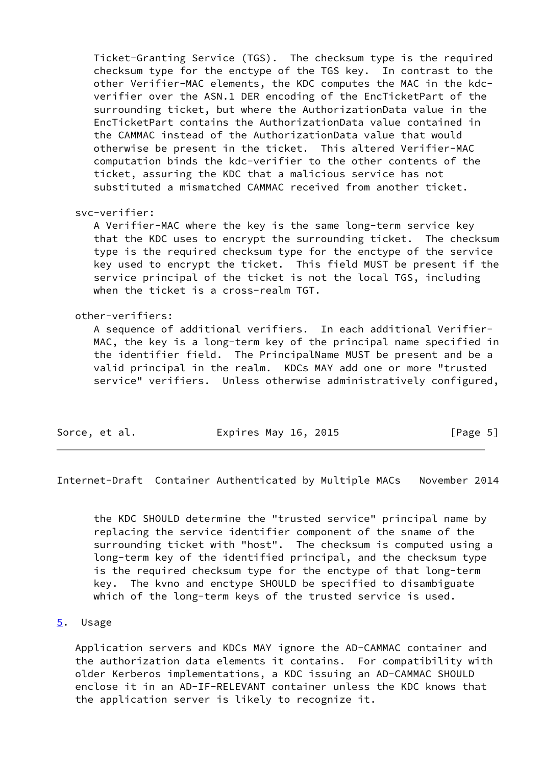Ticket-Granting Service (TGS). The checksum type is the required checksum type for the enctype of the TGS key. In contrast to the other Verifier-MAC elements, the KDC computes the MAC in the kdc verifier over the ASN.1 DER encoding of the EncTicketPart of the surrounding ticket, but where the AuthorizationData value in the EncTicketPart contains the AuthorizationData value contained in the CAMMAC instead of the AuthorizationData value that would otherwise be present in the ticket. This altered Verifier-MAC computation binds the kdc-verifier to the other contents of the ticket, assuring the KDC that a malicious service has not substituted a mismatched CAMMAC received from another ticket.

## svc-verifier:

 A Verifier-MAC where the key is the same long-term service key that the KDC uses to encrypt the surrounding ticket. The checksum type is the required checksum type for the enctype of the service key used to encrypt the ticket. This field MUST be present if the service principal of the ticket is not the local TGS, including when the ticket is a cross-realm TGT.

## other-verifiers:

 A sequence of additional verifiers. In each additional Verifier- MAC, the key is a long-term key of the principal name specified in the identifier field. The PrincipalName MUST be present and be a valid principal in the realm. KDCs MAY add one or more "trusted service" verifiers. Unless otherwise administratively configured,

| Sorce, et al.<br>Expires May 16, 2015 | [Page 5] |
|---------------------------------------|----------|
|---------------------------------------|----------|

<span id="page-5-1"></span>Internet-Draft Container Authenticated by Multiple MACs November 2014

 the KDC SHOULD determine the "trusted service" principal name by replacing the service identifier component of the sname of the surrounding ticket with "host". The checksum is computed using a long-term key of the identified principal, and the checksum type is the required checksum type for the enctype of that long-term key. The kvno and enctype SHOULD be specified to disambiguate which of the long-term keys of the trusted service is used.

## <span id="page-5-0"></span>[5](#page-5-0). Usage

 Application servers and KDCs MAY ignore the AD-CAMMAC container and the authorization data elements it contains. For compatibility with older Kerberos implementations, a KDC issuing an AD-CAMMAC SHOULD enclose it in an AD-IF-RELEVANT container unless the KDC knows that the application server is likely to recognize it.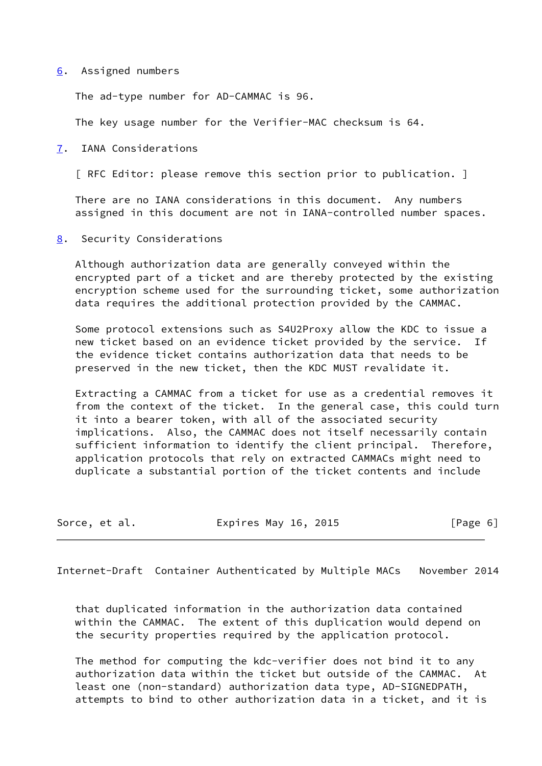#### <span id="page-6-0"></span>[6](#page-6-0). Assigned numbers

The ad-type number for AD-CAMMAC is 96.

The key usage number for the Verifier-MAC checksum is 64.

<span id="page-6-1"></span>[7](#page-6-1). IANA Considerations

[ RFC Editor: please remove this section prior to publication. ]

 There are no IANA considerations in this document. Any numbers assigned in this document are not in IANA-controlled number spaces.

<span id="page-6-2"></span>[8](#page-6-2). Security Considerations

 Although authorization data are generally conveyed within the encrypted part of a ticket and are thereby protected by the existing encryption scheme used for the surrounding ticket, some authorization data requires the additional protection provided by the CAMMAC.

 Some protocol extensions such as S4U2Proxy allow the KDC to issue a new ticket based on an evidence ticket provided by the service. If the evidence ticket contains authorization data that needs to be preserved in the new ticket, then the KDC MUST revalidate it.

 Extracting a CAMMAC from a ticket for use as a credential removes it from the context of the ticket. In the general case, this could turn it into a bearer token, with all of the associated security implications. Also, the CAMMAC does not itself necessarily contain sufficient information to identify the client principal. Therefore, application protocols that rely on extracted CAMMACs might need to duplicate a substantial portion of the ticket contents and include

| Sorce, et al. | Expires May 16, 2015 |  |  | [Page 6] |  |
|---------------|----------------------|--|--|----------|--|
|---------------|----------------------|--|--|----------|--|

Internet-Draft Container Authenticated by Multiple MACs November 2014

 that duplicated information in the authorization data contained within the CAMMAC. The extent of this duplication would depend on the security properties required by the application protocol.

 The method for computing the kdc-verifier does not bind it to any authorization data within the ticket but outside of the CAMMAC. At least one (non-standard) authorization data type, AD-SIGNEDPATH, attempts to bind to other authorization data in a ticket, and it is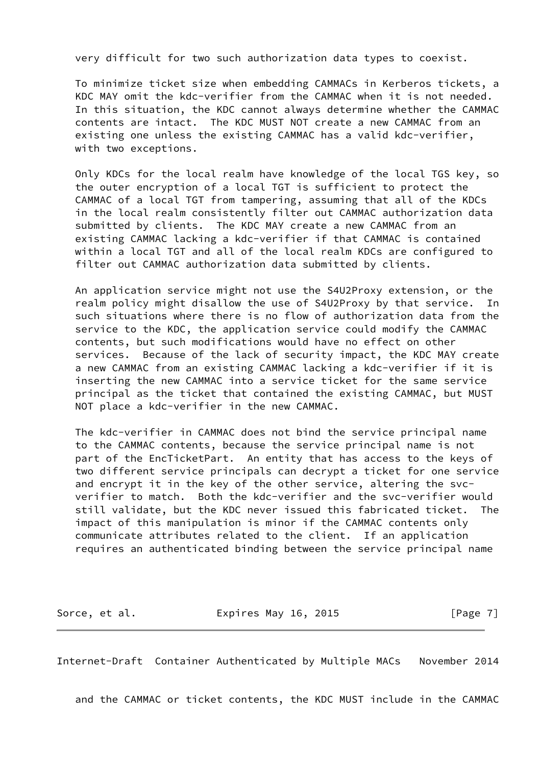very difficult for two such authorization data types to coexist.

 To minimize ticket size when embedding CAMMACs in Kerberos tickets, a KDC MAY omit the kdc-verifier from the CAMMAC when it is not needed. In this situation, the KDC cannot always determine whether the CAMMAC contents are intact. The KDC MUST NOT create a new CAMMAC from an existing one unless the existing CAMMAC has a valid kdc-verifier, with two exceptions.

 Only KDCs for the local realm have knowledge of the local TGS key, so the outer encryption of a local TGT is sufficient to protect the CAMMAC of a local TGT from tampering, assuming that all of the KDCs in the local realm consistently filter out CAMMAC authorization data submitted by clients. The KDC MAY create a new CAMMAC from an existing CAMMAC lacking a kdc-verifier if that CAMMAC is contained within a local TGT and all of the local realm KDCs are configured to filter out CAMMAC authorization data submitted by clients.

 An application service might not use the S4U2Proxy extension, or the realm policy might disallow the use of S4U2Proxy by that service. In such situations where there is no flow of authorization data from the service to the KDC, the application service could modify the CAMMAC contents, but such modifications would have no effect on other services. Because of the lack of security impact, the KDC MAY create a new CAMMAC from an existing CAMMAC lacking a kdc-verifier if it is inserting the new CAMMAC into a service ticket for the same service principal as the ticket that contained the existing CAMMAC, but MUST NOT place a kdc-verifier in the new CAMMAC.

 The kdc-verifier in CAMMAC does not bind the service principal name to the CAMMAC contents, because the service principal name is not part of the EncTicketPart. An entity that has access to the keys of two different service principals can decrypt a ticket for one service and encrypt it in the key of the other service, altering the svc verifier to match. Both the kdc-verifier and the svc-verifier would still validate, but the KDC never issued this fabricated ticket. The impact of this manipulation is minor if the CAMMAC contents only communicate attributes related to the client. If an application requires an authenticated binding between the service principal name

Sorce, et al. **Expires May 16, 2015** [Page 7]

<span id="page-7-0"></span>Internet-Draft Container Authenticated by Multiple MACs November 2014

and the CAMMAC or ticket contents, the KDC MUST include in the CAMMAC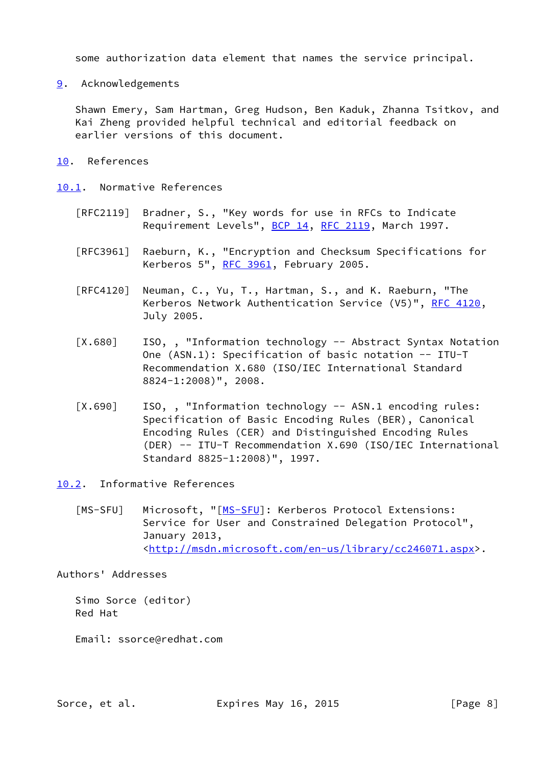some authorization data element that names the service principal.

<span id="page-8-0"></span>[9](#page-8-0). Acknowledgements

 Shawn Emery, Sam Hartman, Greg Hudson, Ben Kaduk, Zhanna Tsitkov, and Kai Zheng provided helpful technical and editorial feedback on earlier versions of this document.

<span id="page-8-1"></span>[10.](#page-8-1) References

<span id="page-8-2"></span>[10.1](#page-8-2). Normative References

- [RFC2119] Bradner, S., "Key words for use in RFCs to Indicate Requirement Levels", [BCP 14](https://datatracker.ietf.org/doc/pdf/bcp14), [RFC 2119](https://datatracker.ietf.org/doc/pdf/rfc2119), March 1997.
- [RFC3961] Raeburn, K., "Encryption and Checksum Specifications for Kerberos 5", [RFC 3961](https://datatracker.ietf.org/doc/pdf/rfc3961), February 2005.
- [RFC4120] Neuman, C., Yu, T., Hartman, S., and K. Raeburn, "The Kerberos Network Authentication Service (V5)", [RFC 4120](https://datatracker.ietf.org/doc/pdf/rfc4120), July 2005.
- <span id="page-8-5"></span>[X.680] ISO,, "Information technology -- Abstract Syntax Notation One (ASN.1): Specification of basic notation -- ITU-T Recommendation X.680 (ISO/IEC International Standard 8824-1:2008)", 2008.
- <span id="page-8-6"></span>[X.690] ISO,, "Information technology -- ASN.1 encoding rules: Specification of Basic Encoding Rules (BER), Canonical Encoding Rules (CER) and Distinguished Encoding Rules (DER) -- ITU-T Recommendation X.690 (ISO/IEC International Standard 8825-1:2008)", 1997.
- <span id="page-8-4"></span><span id="page-8-3"></span>[10.2](#page-8-3). Informative References
	- [\[MS-SFU](#page-8-4)] Microsoft, "[MS-SFU]: Kerberos Protocol Extensions: Service for User and Constrained Delegation Protocol", January 2013, <[http://msdn.microsoft.com/en-us/library/cc246071.aspx>](http://msdn.microsoft.com/en-us/library/cc246071.aspx).

Authors' Addresses

 Simo Sorce (editor) Red Hat

Email: ssorce@redhat.com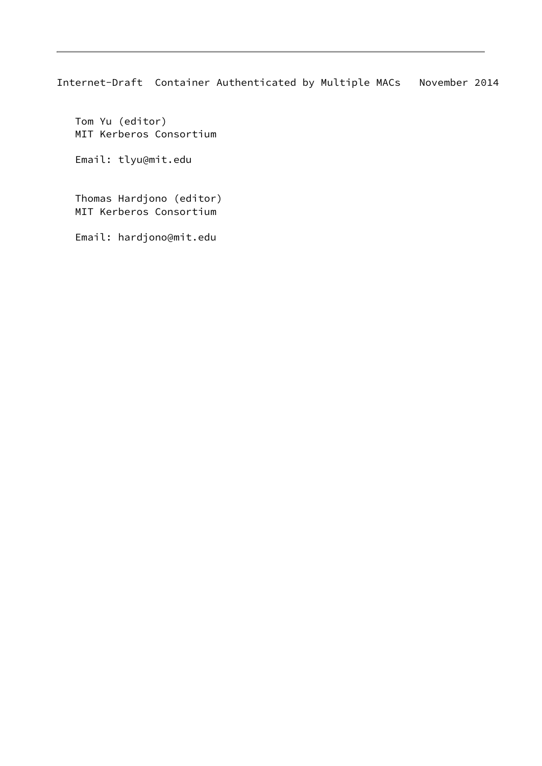Internet-Draft Container Authenticated by Multiple MACs November 2014

 Tom Yu (editor) MIT Kerberos Consortium

Email: tlyu@mit.edu

 Thomas Hardjono (editor) MIT Kerberos Consortium

Email: hardjono@mit.edu